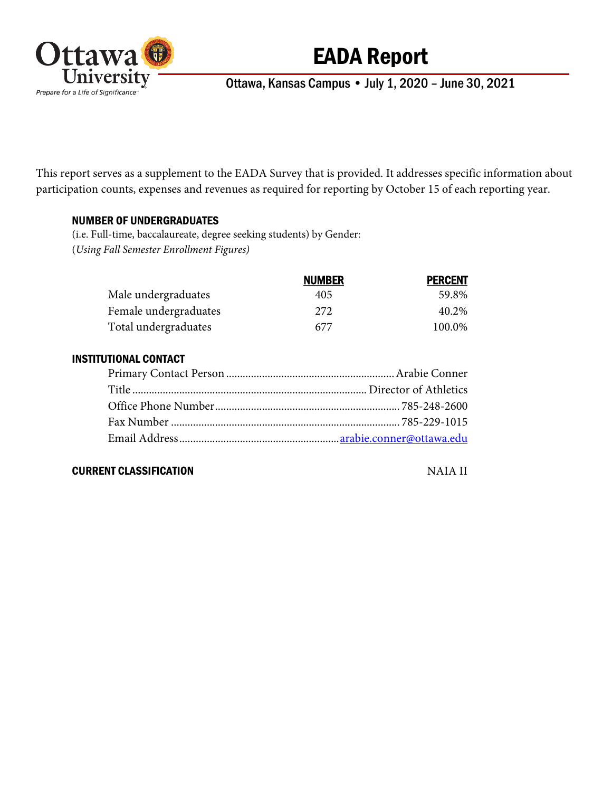

# EADA Report

Ottawa, Kansas Campus • July 1, 2020 – June 30, 2021

This report serves as a supplement to the EADA Survey that is provided. It addresses specific information about participation counts, expenses and revenues as required for reporting by October 15 of each reporting year.

### NUMBER OF UNDERGRADUATES

(i.e. Full-time, baccalaureate, degree seeking students) by Gender: (*Using Fall Semester Enrollment Figures)*

|                       | <b>NUMBER</b> | <b>PERCENT</b> |
|-----------------------|---------------|----------------|
| Male undergraduates   | 405           | 59.8%          |
| Female undergraduates | 2.72          | 40.2%          |
| Total undergraduates  | 677           | 100.0%         |

## INSTITUTIONAL CONTACT

### **CURRENT CLASSIFICATION** NAIA II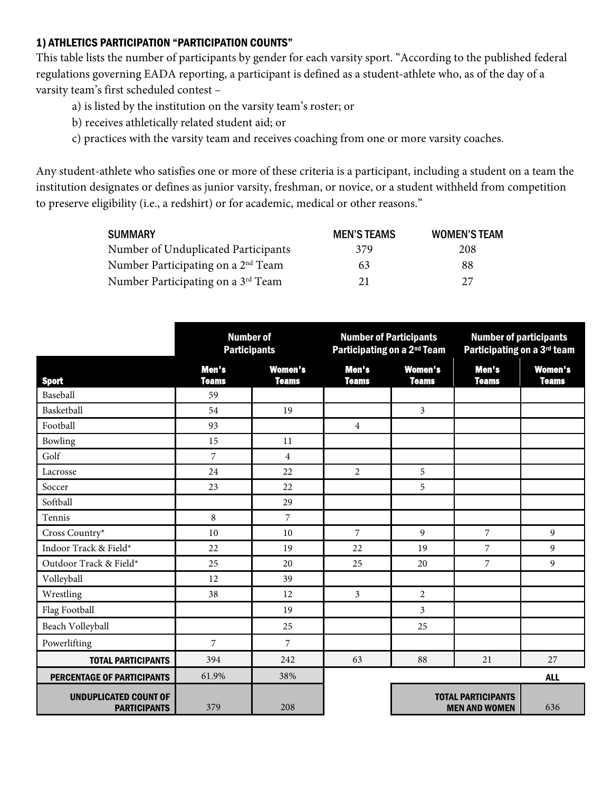## 1) ATHLETICS PARTICIPATION "PARTICIPATION COUNTS"

This table lists the number of participants by gender for each varsity sport. "According to the published federal regulations governing EADA reporting, a participant is defined as a student-athlete who, as of the day of a varsity team's first scheduled contest –

- a) is listed by the institution on the varsity team's roster; or
- b) receives athletically related student aid; or
- c) practices with the varsity team and receives coaching from one or more varsity coaches.

Any student-athlete who satisfies one or more of these criteria is a participant, including a student on a team the institution designates or defines as junior varsity, freshman, or novice, or a student withheld from competition to preserve eligibility (i.e., a redshirt) or for academic, medical or other reasons."

| <b>SUMMARY</b>                                 | <b>MEN'S TEAMS</b> | <b>WOMEN'S TEAM</b> |
|------------------------------------------------|--------------------|---------------------|
| Number of Unduplicated Participants            | 379                | 208                 |
| Number Participating on a 2 <sup>nd</sup> Team | 63                 | 88                  |
| Number Participating on a 3 <sup>rd</sup> Team | 21                 | 27                  |

|                                                     |                       | <b>Number of</b><br><b>Participants</b> |                       | <b>Number of Participants</b><br>Participating on a 2 <sup>nd</sup> Team | <b>Number of participants</b><br>Participating on a 3rd team |                                |
|-----------------------------------------------------|-----------------------|-----------------------------------------|-----------------------|--------------------------------------------------------------------------|--------------------------------------------------------------|--------------------------------|
| <b>Sport</b>                                        | Men's<br><b>Teams</b> | <b>Women's</b><br><b>Teams</b>          | Men's<br><b>Teams</b> | <b>Women's</b><br><b>Teams</b>                                           | Men's<br><b>Teams</b>                                        | <b>Women's</b><br><b>Teams</b> |
| Baseball                                            | 59                    |                                         |                       |                                                                          |                                                              |                                |
| Basketball                                          | 54                    | 19                                      |                       | 3                                                                        |                                                              |                                |
| Football                                            | 93                    |                                         | $\overline{4}$        |                                                                          |                                                              |                                |
| Bowling                                             | 15                    | 11                                      |                       |                                                                          |                                                              |                                |
| Golf                                                | 7                     | 4                                       |                       |                                                                          |                                                              |                                |
| Lacrosse                                            | 24                    | 22                                      | $\overline{2}$        | 5                                                                        |                                                              |                                |
| Soccer                                              | 23                    | 22                                      |                       | 5                                                                        |                                                              |                                |
| Softball                                            |                       | 29                                      |                       |                                                                          |                                                              |                                |
| Tennis                                              | 8                     | $\overline{7}$                          |                       |                                                                          |                                                              |                                |
| Cross Country*                                      | 10                    | 10                                      | 7                     | 9                                                                        | $\overline{7}$                                               | 9                              |
| Indoor Track & Field*                               | 22                    | 19                                      | 22                    | 19                                                                       | $\overline{7}$                                               | 9                              |
| Outdoor Track & Field*                              | 25                    | 20                                      | 25                    | 20                                                                       | $\overline{7}$                                               | 9                              |
| Volleyball                                          | 12                    | 39                                      |                       |                                                                          |                                                              |                                |
| Wrestling                                           | 38                    | 12                                      | $\mathfrak{Z}$        | $\overline{2}$                                                           |                                                              |                                |
| Flag Football                                       |                       | 19                                      |                       | 3                                                                        |                                                              |                                |
| Beach Volleyball                                    |                       | 25                                      |                       | 25                                                                       |                                                              |                                |
| Powerlifting                                        | 7                     | $\overline{7}$                          |                       |                                                                          |                                                              |                                |
| <b>TOTAL PARTICIPANTS</b>                           | 394                   | 242                                     | 63                    | 88                                                                       | 21                                                           | 27                             |
| PERCENTAGE OF PARTICIPANTS                          | 61.9%                 | 38%                                     |                       |                                                                          |                                                              | <b>ALL</b>                     |
| <b>UNDUPLICATED COUNT OF</b><br><b>PARTICIPANTS</b> | 379                   | 208                                     |                       |                                                                          | <b>TOTAL PARTICIPANTS</b><br><b>MEN AND WOMEN</b>            | 636                            |